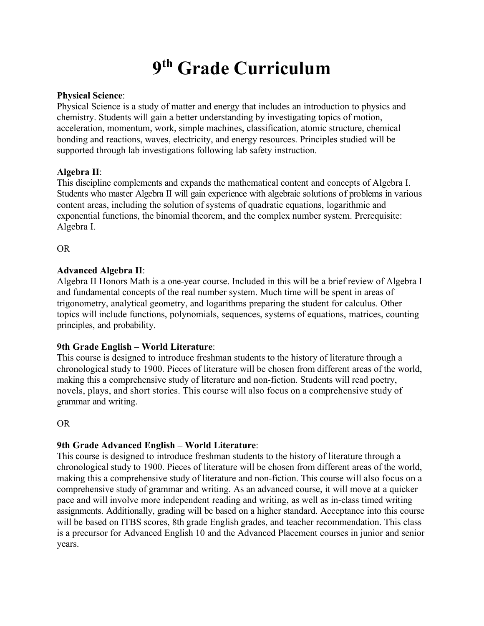# **9 th Grade Curriculum**

## **Physical Science**:

Physical Science is a study of matter and energy that includes an introduction to physics and chemistry. Students will gain a better understanding by investigating topics of motion, acceleration, momentum, work, simple machines, classification, atomic structure, chemical bonding and reactions, waves, electricity, and energy resources. Principles studied will be supported through lab investigations following lab safety instruction.

## **Algebra II**:

This discipline complements and expands the mathematical content and concepts of Algebra I. Students who master Algebra II will gain experience with algebraic solutions of problems in various content areas, including the solution of systems of quadratic equations, logarithmic and exponential functions, the binomial theorem, and the complex number system. Prerequisite: Algebra I.

OR

### **Advanced Algebra II**:

Algebra II Honors Math is a one-year course. Included in this will be a brief review of Algebra I and fundamental concepts of the real number system. Much time will be spent in areas of trigonometry, analytical geometry, and logarithms preparing the student for calculus. Other topics will include functions, polynomials, sequences, systems of equations, matrices, counting principles, and probability.

## **9th Grade English – World Literature**:

This course is designed to introduce freshman students to the history of literature through a chronological study to 1900. Pieces of literature will be chosen from different areas of the world, making this a comprehensive study of literature and non-fiction. Students will read poetry, novels, plays, and short stories. This course will also focus on a comprehensive study of grammar and writing.

OR

## **9th Grade Advanced English – World Literature**:

This course is designed to introduce freshman students to the history of literature through a chronological study to 1900. Pieces of literature will be chosen from different areas of the world, making this a comprehensive study of literature and non-fiction. This course will also focus on a comprehensive study of grammar and writing. As an advanced course, it will move at a quicker pace and will involve more independent reading and writing, as well as in-class timed writing assignments. Additionally, grading will be based on a higher standard. Acceptance into this course will be based on ITBS scores, 8th grade English grades, and teacher recommendation. This class is a precursor for Advanced English 10 and the Advanced Placement courses in junior and senior years.